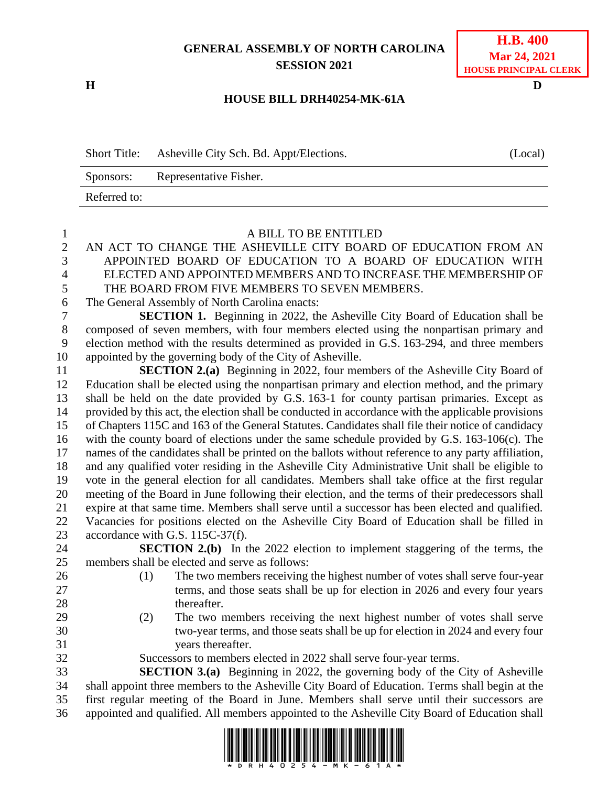## **GENERAL ASSEMBLY OF NORTH CAROLINA SESSION 2021**

**H D**

## **H.B. 400 Mar 24, 2021 HOUSE PRINCIPAL CLERK**

## **HOUSE BILL DRH40254-MK-61A**

Short Title: Asheville City Sch. Bd. Appt/Elections. (Local) Sponsors: Representative Fisher. Referred to:

| $\mathbf{1}$   | A BILL TO BE ENTITLED                                                                               |
|----------------|-----------------------------------------------------------------------------------------------------|
| $\overline{2}$ | AN ACT TO CHANGE THE ASHEVILLE CITY BOARD OF EDUCATION FROM AN                                      |
| 3              | APPOINTED BOARD OF EDUCATION TO A BOARD OF EDUCATION WITH                                           |
| $\overline{4}$ | ELECTED AND APPOINTED MEMBERS AND TO INCREASE THE MEMBERSHIP OF                                     |
| 5              | THE BOARD FROM FIVE MEMBERS TO SEVEN MEMBERS.                                                       |
| 6              | The General Assembly of North Carolina enacts:                                                      |
| $\tau$         | <b>SECTION 1.</b> Beginning in 2022, the Asheville City Board of Education shall be                 |
| $8\,$          | composed of seven members, with four members elected using the nonpartisan primary and              |
| 9              | election method with the results determined as provided in G.S. 163-294, and three members          |
| 10             | appointed by the governing body of the City of Asheville.                                           |
| 11             | <b>SECTION 2.(a)</b> Beginning in 2022, four members of the Asheville City Board of                 |
| 12             | Education shall be elected using the nonpartisan primary and election method, and the primary       |
| 13             | shall be held on the date provided by G.S. 163-1 for county partisan primaries. Except as           |
| 14             | provided by this act, the election shall be conducted in accordance with the applicable provisions  |
| 15             | of Chapters 115C and 163 of the General Statutes. Candidates shall file their notice of candidacy   |
| 16             | with the county board of elections under the same schedule provided by G.S. 163-106(c). The         |
| 17             | names of the candidates shall be printed on the ballots without reference to any party affiliation, |
| 18             | and any qualified voter residing in the Asheville City Administrative Unit shall be eligible to     |
| 19             | vote in the general election for all candidates. Members shall take office at the first regular     |
| 20             | meeting of the Board in June following their election, and the terms of their predecessors shall    |
| 21             | expire at that same time. Members shall serve until a successor has been elected and qualified.     |
| 22             | Vacancies for positions elected on the Asheville City Board of Education shall be filled in         |
| 23             | accordance with G.S. 115C-37(f).                                                                    |
| 24             | <b>SECTION 2.(b)</b> In the 2022 election to implement staggering of the terms, the                 |
| 25             | members shall be elected and serve as follows:                                                      |
| 26             | The two members receiving the highest number of votes shall serve four-year<br>(1)                  |
| 27             | terms, and those seats shall be up for election in 2026 and every four years                        |
| 28             | thereafter.                                                                                         |
| 29             | The two members receiving the next highest number of votes shall serve<br>(2)                       |
| 30             | two-year terms, and those seats shall be up for election in 2024 and every four                     |
| 31             | years thereafter.                                                                                   |
| 32             | Successors to members elected in 2022 shall serve four-year terms.                                  |
| 33             | <b>SECTION 3.(a)</b> Beginning in 2022, the governing body of the City of Asheville                 |
| 34             | shall appoint three members to the Asheville City Board of Education. Terms shall begin at the      |
| 35             | first regular meeting of the Board in June. Members shall serve until their successors are          |
| 36             | appointed and qualified. All members appointed to the Asheville City Board of Education shall       |